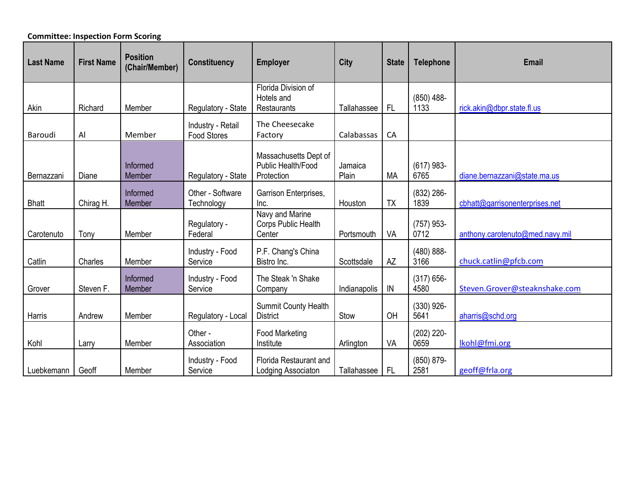## **Committee: Inspection Form Scoring**

| <b>Last Name</b> | <b>First Name</b> | <b>Position</b><br>(Chair/Member) | <b>Constituency</b>                     | <b>Employer</b>                                           | City             | <b>State</b> | <b>Telephone</b>      | <b>Email</b>                    |
|------------------|-------------------|-----------------------------------|-----------------------------------------|-----------------------------------------------------------|------------------|--------------|-----------------------|---------------------------------|
| Akin             | Richard           | Member                            | Regulatory - State                      | Florida Division of<br>Hotels and<br>Restaurants          | Tallahassee      | FL           | $(850)$ 488-<br>1133  | rick.akin@dbpr.state.fl.us      |
| Baroudi          | Al                | Member                            | Industry - Retail<br><b>Food Stores</b> | The Cheesecake<br>Factory                                 | Calabassas       | CA           |                       |                                 |
| Bernazzani       | Diane             | Informed<br>Member                | Regulatory - State                      | Massachusetts Dept of<br>Public Health/Food<br>Protection | Jamaica<br>Plain | <b>MA</b>    | $(617)$ 983-<br>6765  | diane.bernazzani@state.ma.us    |
| <b>Bhatt</b>     | Chirag H.         | Informed<br>Member                | Other - Software<br>Technology          | Garrison Enterprises,<br>Inc.                             | Houston          | <b>TX</b>    | $(832)$ 286-<br>1839  | cbhatt@garrisonenterprises.net  |
| Carotenuto       | Tony              | Member                            | Regulatory -<br>Federal                 | Navy and Marine<br>Corps Public Health<br>Center          | Portsmouth       | VA           | $(757)$ 953-<br>0712  | anthony.carotenuto@med.navy.mil |
| Catlin           | Charles           | Member                            | Industry - Food<br>Service              | P.F. Chang's China<br>Bistro Inc.                         | Scottsdale       | <b>AZ</b>    | $(480) 888 -$<br>3166 | chuck.catlin@pfcb.com           |
| Grover           | Steven F.         | Informed<br>Member                | Industry - Food<br>Service              | The Steak 'n Shake<br>Company                             | Indianapolis     | ${\sf IN}$   | $(317) 656 -$<br>4580 | Steven.Grover@steaknshake.com   |
| Harris           | Andrew            | Member                            | Regulatory - Local                      | <b>Summit County Health</b><br><b>District</b>            | Stow             | OH           | $(330)$ 926-<br>5641  | aharris@schd.org                |
| Kohl             | Larry             | Member                            | Other -<br>Association                  | <b>Food Marketing</b><br>Institute                        | Arlington        | VA           | $(202)$ 220-<br>0659  | lkohl@fmi.org                   |
| Luebkemann       | Geoff             | Member                            | Industry - Food<br>Service              | Florida Restaurant and<br>Lodging Associaton              | Tallahassee      | FL           | (850) 879-<br>2581    | geoff@frla.org                  |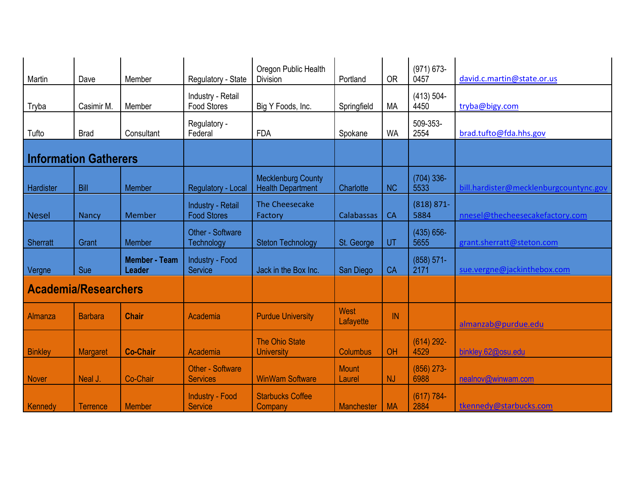| Martin                       | Dave            | Member                                | Regulatory - State                         | Oregon Public Health<br><b>Division</b>               | Portland               | <b>OR</b> | $(971) 673 -$<br>0457 | david.c.martin@state.or.us             |
|------------------------------|-----------------|---------------------------------------|--------------------------------------------|-------------------------------------------------------|------------------------|-----------|-----------------------|----------------------------------------|
| Tryba                        | Casimir M.      | Member                                | Industry - Retail<br><b>Food Stores</b>    | Big Y Foods, Inc.                                     | Springfield            | <b>MA</b> | $(413) 504 -$<br>4450 | tryba@bigy.com                         |
| Tufto                        | <b>Brad</b>     | Consultant                            | Regulatory -<br>Federal                    | <b>FDA</b>                                            | Spokane                | <b>WA</b> | 509-353-<br>2554      | brad.tufto@fda.hhs.gov                 |
| <b>Information Gatherers</b> |                 |                                       |                                            |                                                       |                        |           |                       |                                        |
| Hardister                    | Bill            | Member                                | Regulatory - Local                         | <b>Mecklenburg County</b><br><b>Health Department</b> | Charlotte              | <b>NC</b> | $(704)$ 336-<br>5533  | bill.hardister@mecklenburgcountync.gov |
| <b>Nesel</b>                 | <b>Nancy</b>    | Member                                | Industry - Retail<br><b>Food Stores</b>    | The Cheesecake<br>Factory                             | Calabassas             | <b>CA</b> | $(818) 871 -$<br>5884 | nnesel@thecheesecakefactory.com        |
| <b>Sherratt</b>              | Grant           | Member                                | Other - Software<br><b>Technology</b>      | <b>Steton Technology</b>                              | St. George             | UT        | $(435) 656 -$<br>5655 | grant.sherratt@steton.com              |
| Vergne                       | Sue             | <b>Member - Team</b><br><b>Leader</b> | Industry - Food<br>Service                 | Jack in the Box Inc.                                  | San Diego              | CA        | $(858) 571 -$<br>2171 | sue.vergne@jackinthebox.com            |
| <b>Academia/Researchers</b>  |                 |                                       |                                            |                                                       |                        |           |                       |                                        |
| Almanza                      | <b>Barbara</b>  | <b>Chair</b>                          | Academia                                   | <b>Purdue University</b>                              | West<br>Lafayette      | IN        |                       | almanzab@purdue.edu                    |
| <b>Binkley</b>               | Margaret        | <b>Co-Chair</b>                       | Academia                                   | <b>The Ohio State</b><br><b>University</b>            | <b>Columbus</b>        | OH        | $(614)$ 292-<br>4529  | binkley.62@osu.edu                     |
| <b>Nover</b>                 | Neal J.         | Co-Chair                              | <b>Other - Software</b><br><b>Services</b> | <b>WinWam Software</b>                                | <b>Mount</b><br>Laurel | <b>NJ</b> | $(856)$ 273-<br>6988  | nealnov@winwam.com                     |
| Kennedy                      | <b>Terrence</b> | <b>Member</b>                         | <b>Industry - Food</b><br><b>Service</b>   | <b>Starbucks Coffee</b><br>Company                    | <b>Manchester</b>      | <b>MA</b> | $(617) 784 -$<br>2884 | tkennedy@starbucks.com                 |